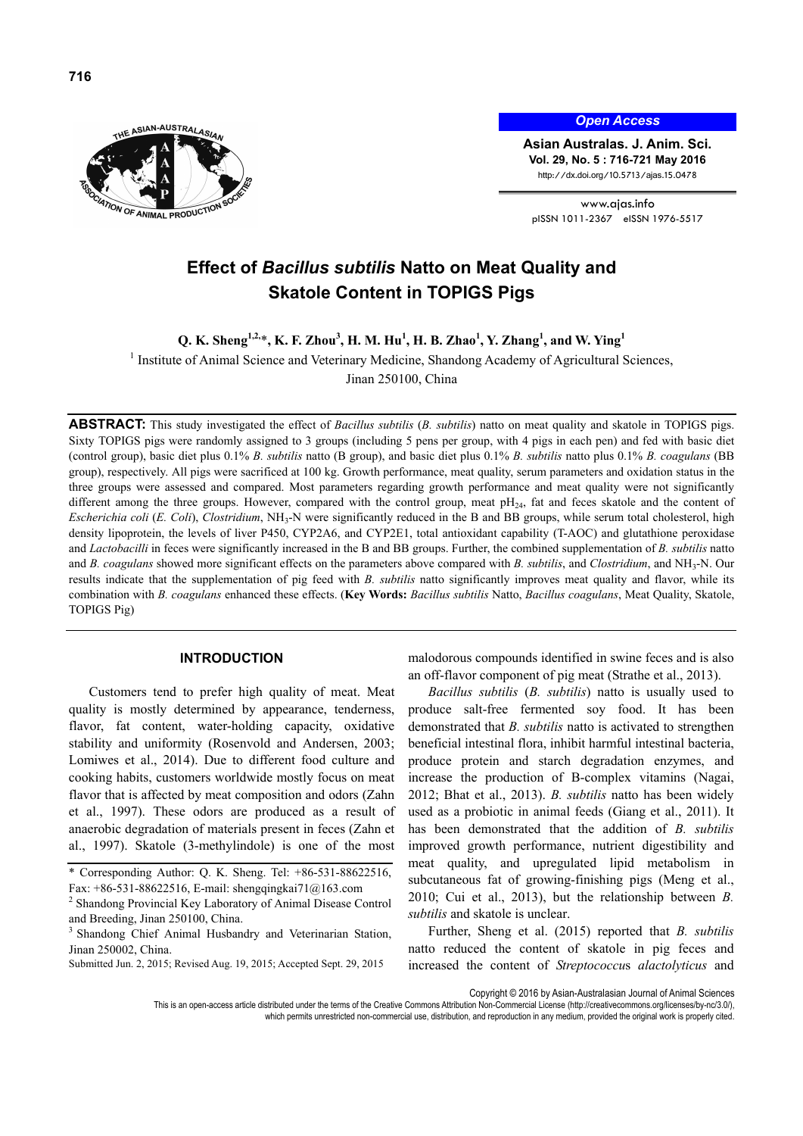

*Open Access*

**Asian Australas. J. Anim. Sci. Vol. 29, No. 5 : 716-721 May 2016**  http://dx.doi.org/10.5713/ajas.15.0478

www.ajas.info pISSN 1011-2367 eISSN 1976-5517

# **Effect of** *Bacillus subtilis* **Natto on Meat Quality and Skatole Content in TOPIGS Pigs**

**Q. K. Sheng1,2,**\***, K. F. Zhou<sup>3</sup> , H. M. Hu<sup>1</sup> , H. B. Zhao<sup>1</sup> , Y. Zhang<sup>1</sup> , and W. Ying<sup>1</sup>**

<sup>1</sup> Institute of Animal Science and Veterinary Medicine, Shandong Academy of Agricultural Sciences,

Jinan 250100, China

**ABSTRACT:** This study investigated the effect of *Bacillus subtilis* (*B. subtilis*) natto on meat quality and skatole in TOPIGS pigs. Sixty TOPIGS pigs were randomly assigned to 3 groups (including 5 pens per group, with 4 pigs in each pen) and fed with basic diet (control group), basic diet plus 0.1% *B. subtilis* natto (B group), and basic diet plus 0.1% *B. subtilis* natto plus 0.1% *B. coagulans* (BB group), respectively. All pigs were sacrificed at 100 kg. Growth performance, meat quality, serum parameters and oxidation status in the three groups were assessed and compared. Most parameters regarding growth performance and meat quality were not significantly different among the three groups. However, compared with the control group, meat  $pH_{24}$ , fat and feces skatole and the content of *Escherichia coli* (*E. Coli*), *Clostridium*, NH3-N were significantly reduced in the B and BB groups, while serum total cholesterol, high density lipoprotein, the levels of liver P450, CYP2A6, and CYP2E1, total antioxidant capability (T-AOC) and glutathione peroxidase and *Lactobacilli* in feces were significantly increased in the B and BB groups. Further, the combined supplementation of *B. subtilis* natto and *B. coagulans* showed more significant effects on the parameters above compared with *B. subtilis*, and *Clostridium*, and NH3-N. Our results indicate that the supplementation of pig feed with *B. subtilis* natto significantly improves meat quality and flavor, while its combination with *B. coagulans* enhanced these effects. (**Key Words:** *Bacillus subtilis* Natto, *Bacillus coagulans*, Meat Quality, Skatole, TOPIGS Pig)

## **INTRODUCTION**

Customers tend to prefer high quality of meat. Meat quality is mostly determined by appearance, tenderness, flavor, fat content, water-holding capacity, oxidative stability and uniformity (Rosenvold and Andersen, 2003; Lomiwes et al., 2014). Due to different food culture and cooking habits, customers worldwide mostly focus on meat flavor that is affected by meat composition and odors (Zahn et al., 1997). These odors are produced as a result of anaerobic degradation of materials present in feces (Zahn et al., 1997). Skatole (3-methylindole) is one of the most malodorous compounds identified in swine feces and is also an off-flavor component of pig meat (Strathe et al., 2013).

*Bacillus subtilis* (*B. subtilis*) natto is usually used to produce salt-free fermented soy food. It has been demonstrated that *B. subtilis* natto is activated to strengthen beneficial intestinal flora, inhibit harmful intestinal bacteria, produce protein and starch degradation enzymes, and increase the production of B-complex vitamins (Nagai, 2012; Bhat et al., 2013). *B. subtilis* natto has been widely used as a probiotic in animal feeds (Giang et al., 2011). It has been demonstrated that the addition of *B. subtilis*  improved growth performance, nutrient digestibility and meat quality, and upregulated lipid metabolism in subcutaneous fat of growing-finishing pigs (Meng et al., 2010; Cui et al., 2013), but the relationship between *B. subtilis* and skatole is unclear.

Further, Sheng et al. (2015) reported that *B. subtilis* natto reduced the content of skatole in pig feces and increased the content of *Streptococcu*s *alactolyticus* and

Copyright © 2016 by Asian-Australasian Journal of Animal Sciences

which permits unrestricted non-commercial use, distribution, and reproduction in any medium, provided the original work is properly cited.

<sup>\*</sup> Corresponding Author: Q. K. Sheng. Tel: +86-531-88622516, Fax: +86-531-88622516, E-mail: shengqingkai71@163.com 2

<sup>&</sup>lt;sup>2</sup> Shandong Provincial Key Laboratory of Animal Disease Control and Breeding, Jinan 250100, China.

<sup>&</sup>lt;sup>3</sup> Shandong Chief Animal Husbandry and Veterinarian Station, Jinan 250002, China.

Submitted Jun. 2, 2015; Revised Aug. 19, 2015; Accepted Sept. 29, 2015

This is an open-access article distributed under the terms of the Creative Commons Attribution Non-Commercial License (http://creativecommons.org/licenses/by-nc/3.0/).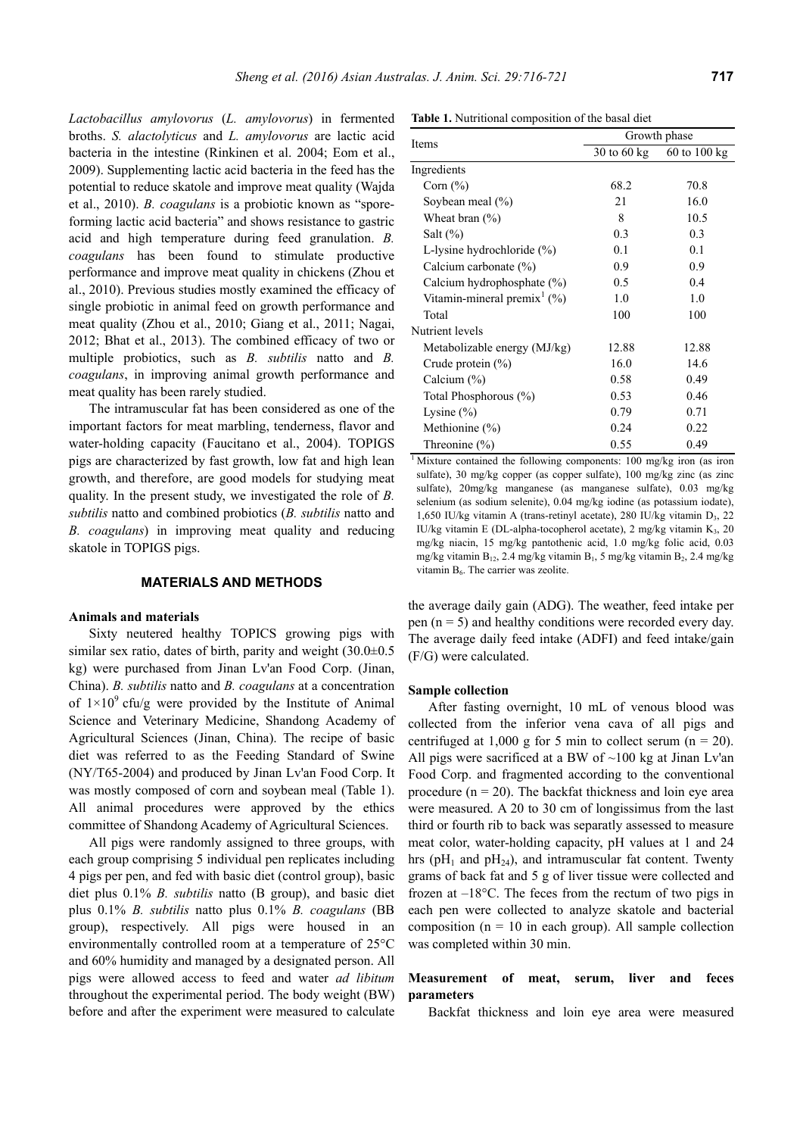*Lactobacillus amylovorus* (*L. amylovorus*) in fermented broths. *S. alactolyticus* and *L. amylovorus* are lactic acid bacteria in the intestine (Rinkinen et al. 2004; Eom et al., 2009). Supplementing lactic acid bacteria in the feed has the potential to reduce skatole and improve meat quality (Wajda et al., 2010). *B. coagulans* is a probiotic known as "sporeforming lactic acid bacteria" and shows resistance to gastric acid and high temperature during feed granulation. *B. coagulans* has been found to stimulate productive performance and improve meat quality in chickens (Zhou et al., 2010). Previous studies mostly examined the efficacy of single probiotic in animal feed on growth performance and meat quality (Zhou et al., 2010; Giang et al., 2011; Nagai, 2012; Bhat et al., 2013). The combined efficacy of two or multiple probiotics, such as *B. subtilis* natto and *B. coagulans*, in improving animal growth performance and meat quality has been rarely studied.

The intramuscular fat has been considered as one of the important factors for meat marbling, tenderness, flavor and water-holding capacity (Faucitano et al., 2004). TOPIGS pigs are characterized by fast growth, low fat and high lean growth, and therefore, are good models for studying meat quality. In the present study, we investigated the role of *B. subtilis* natto and combined probiotics (*B. subtilis* natto and *B. coagulans*) in improving meat quality and reducing skatole in TOPIGS pigs.

## **MATERIALS AND METHODS**

#### **Animals and materials**

Sixty neutered healthy TOPICS growing pigs with similar sex ratio, dates of birth, parity and weight (30.0 $\pm$ 0.5 kg) were purchased from Jinan Lv'an Food Corp. (Jinan, China). *B. subtilis* natto and *B. coagulans* at a concentration of  $1\times10^9$  cfu/g were provided by the Institute of Animal Science and Veterinary Medicine, Shandong Academy of Agricultural Sciences (Jinan, China). The recipe of basic diet was referred to as the Feeding Standard of Swine (NY/T65-2004) and produced by Jinan Lv'an Food Corp. It was mostly composed of corn and soybean meal (Table 1). All animal procedures were approved by the ethics committee of Shandong Academy of Agricultural Sciences.

All pigs were randomly assigned to three groups, with each group comprising 5 individual pen replicates including 4 pigs per pen, and fed with basic diet (control group), basic diet plus 0.1% *B. subtilis* natto (B group), and basic diet plus 0.1% *B. subtilis* natto plus 0.1% *B. coagulans* (BB group), respectively. All pigs were housed in an environmentally controlled room at a temperature of 25°C and 60% humidity and managed by a designated person. All pigs were allowed access to feed and water *ad libitum* throughout the experimental period. The body weight (BW) before and after the experiment were measured to calculate

**Table 1.** Nutritional composition of the basal diet

|                                         | Growth phase<br>$30$ to $60$ kg<br>68.2<br>70.8<br>21<br>16.0<br>8<br>10.5<br>0.3<br>0.3<br>0.1<br>0.1<br>0.9<br>0.9<br>0.4<br>0.5<br>1.0<br>1.0<br>100<br>100 |                  |
|-----------------------------------------|----------------------------------------------------------------------------------------------------------------------------------------------------------------|------------------|
| Items                                   |                                                                                                                                                                | $60$ to $100$ kg |
| Ingredients                             |                                                                                                                                                                |                  |
| Corn $(\% )$                            |                                                                                                                                                                |                  |
| Soybean meal $(\% )$                    |                                                                                                                                                                |                  |
| Wheat bran $(\% )$                      |                                                                                                                                                                |                  |
| Salt $(\%)$                             |                                                                                                                                                                |                  |
| L-lysine hydrochloride (%)              |                                                                                                                                                                |                  |
| Calcium carbonate (%)                   |                                                                                                                                                                |                  |
| Calcium hydrophosphate (%)              |                                                                                                                                                                |                  |
| Vitamin-mineral premix <sup>1</sup> (%) |                                                                                                                                                                |                  |
| Total                                   |                                                                                                                                                                |                  |
| Nutrient levels                         |                                                                                                                                                                |                  |
| Metabolizable energy (MJ/kg)            | 12.88                                                                                                                                                          | 12.88            |
| Crude protein $(\% )$                   | 16.0                                                                                                                                                           | 14.6             |
| Calcium (%)                             | 0.58                                                                                                                                                           | 0.49             |
| Total Phosphorous (%)                   | 0.53                                                                                                                                                           | 0.46             |
| Lysine $(\% )$                          | 0.79                                                                                                                                                           | 0.71             |
| Methionine $(\%)$                       | 0.24                                                                                                                                                           | 0.22             |
| Threonine $(\% )$                       | 0.55                                                                                                                                                           | 0.49             |

<sup>1</sup> Mixture contained the following components: 100 mg/kg iron (as iron sulfate), 30 mg/kg copper (as copper sulfate), 100 mg/kg zinc (as zinc sulfate), 20mg/kg manganese (as manganese sulfate), 0.03 mg/kg selenium (as sodium selenite), 0.04 mg/kg iodine (as potassium iodate), 1,650 IU/kg vitamin A (trans-retinyl acetate), 280 IU/kg vitamin  $D_3$ , 22 IU/kg vitamin E (DL-alpha-tocopherol acetate), 2 mg/kg vitamin  $K_3$ , 20 mg/kg niacin, 15 mg/kg pantothenic acid, 1.0 mg/kg folic acid, 0.03 mg/kg vitamin  $B_{12}$ , 2.4 mg/kg vitamin  $B_1$ , 5 mg/kg vitamin  $B_2$ , 2.4 mg/kg vitamin B<sub>6</sub>. The carrier was zeolite.

the average daily gain (ADG). The weather, feed intake per pen  $(n = 5)$  and healthy conditions were recorded every day. The average daily feed intake (ADFI) and feed intake/gain (F/G) were calculated.

#### **Sample collection**

After fasting overnight, 10 mL of venous blood was collected from the inferior vena cava of all pigs and centrifuged at 1,000 g for 5 min to collect serum  $(n = 20)$ . All pigs were sacrificed at a BW of  $~100$  kg at Jinan Lv'an Food Corp. and fragmented according to the conventional procedure  $(n = 20)$ . The backfat thickness and loin eye area were measured. A 20 to 30 cm of longissimus from the last third or fourth rib to back was separatly assessed to measure meat color, water-holding capacity, pH values at 1 and 24 hrs ( $pH_1$  and  $pH_{24}$ ), and intramuscular fat content. Twenty grams of back fat and 5 g of liver tissue were collected and frozen at –18°C. The feces from the rectum of two pigs in each pen were collected to analyze skatole and bacterial composition ( $n = 10$  in each group). All sample collection was completed within 30 min.

## **Measurement of meat, serum, liver and feces parameters**

Backfat thickness and loin eye area were measured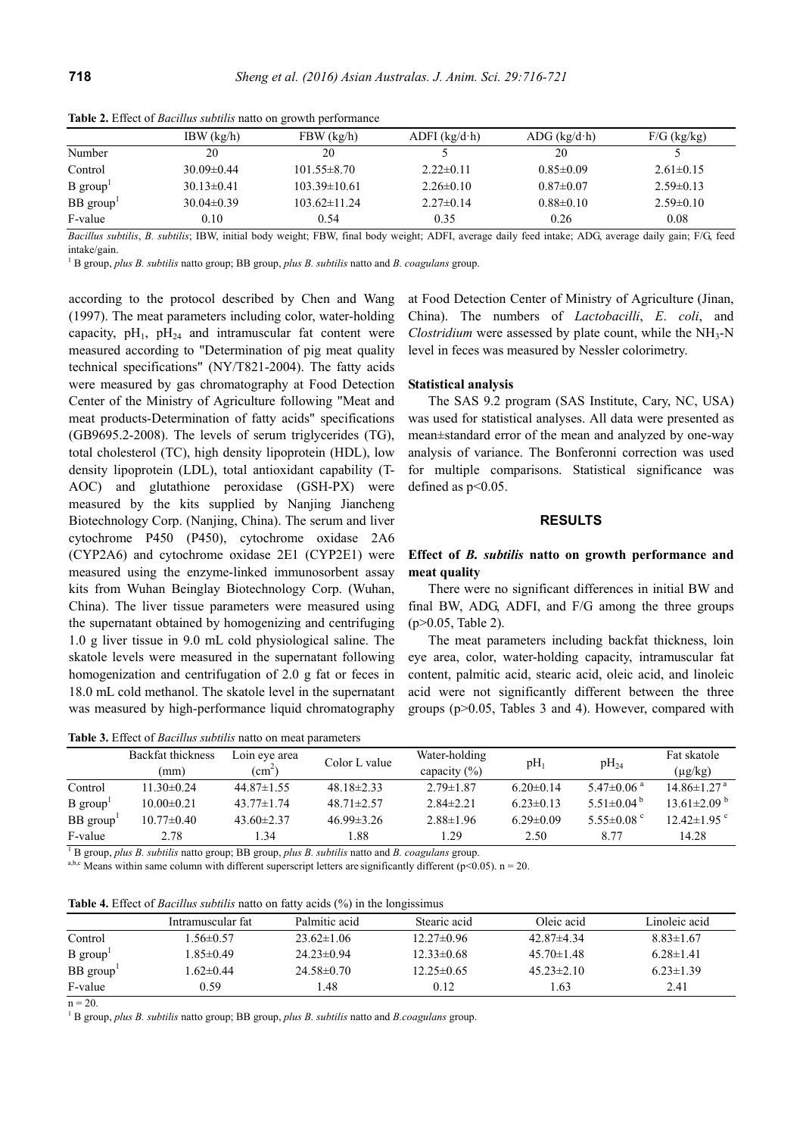|                        | $IBW$ (kg/h)     | FBW (kg/h)         | $ADFI$ (kg/d·h) | $ADG$ (kg/d·h)  | $F/G$ (kg/kg)   |
|------------------------|------------------|--------------------|-----------------|-----------------|-----------------|
| Number                 | 20               | 20                 |                 | 20              |                 |
| Control                | $30.09 \pm 0.44$ | $101.55 \pm 8.70$  | $2.22 \pm 0.11$ | $0.85 \pm 0.09$ | $2.61 \pm 0.15$ |
| $B$ group <sup>1</sup> | $30.13 \pm 0.41$ | $103.39 \pm 10.61$ | $2.26\pm 0.10$  | $0.87 \pm 0.07$ | $2.59\pm0.13$   |
| BB group <sup>1</sup>  | $30.04\pm0.39$   | $103.62 \pm 11.24$ | $2.27\pm 0.14$  | $0.88 \pm 0.10$ | $2.59\pm0.10$   |
| F-value                | $0.10\,$         | 0.54               | 0.35            | 0.26            | 0.08            |

**Table 2.** Effect of *Bacillus subtilis* natto on growth performance

*Bacillus subtilis*, *B. subtilis*; IBW, initial body weight; FBW, final body weight; ADFI, average daily feed intake; ADG, average daily gain; F/G, feed intake/gain.

1 B group, *plus B. subtilis* natto group; BB group, *plus B. subtilis* natto and *B. coagulans* group.

according to the protocol described by Chen and Wang (1997). The meat parameters including color, water-holding capacity,  $pH_1$ ,  $pH_{24}$  and intramuscular fat content were measured according to "Determination of pig meat quality technical specifications" (NY/T821-2004). The fatty acids were measured by gas chromatography at Food Detection Center of the Ministry of Agriculture following "Meat and meat products-Determination of fatty acids" specifications (GB9695.2-2008). The levels of serum triglycerides (TG), total cholesterol (TC), high density lipoprotein (HDL), low density lipoprotein (LDL), total antioxidant capability (T-AOC) and glutathione peroxidase (GSH-PX) were measured by the kits supplied by Nanjing Jiancheng Biotechnology Corp. (Nanjing, China). The serum and liver cytochrome P450 (P450), cytochrome oxidase 2A6 (CYP2A6) and cytochrome oxidase 2E1 (CYP2E1) were measured using the enzyme-linked immunosorbent assay kits from Wuhan Beinglay Biotechnology Corp. (Wuhan, China). The liver tissue parameters were measured using the supernatant obtained by homogenizing and centrifuging 1.0 g liver tissue in 9.0 mL cold physiological saline. The skatole levels were measured in the supernatant following homogenization and centrifugation of 2.0 g fat or feces in 18.0 mL cold methanol. The skatole level in the supernatant was measured by high-performance liquid chromatography

**Table 3.** Effect of *Bacillus subtilis* natto on meat parameters

at Food Detection Center of Ministry of Agriculture (Jinan, China). The numbers of *Lactobacilli*, *E*. *coli*, and *Clostridium* were assessed by plate count, while the  $NH<sub>3</sub>-N$ level in feces was measured by Nessler colorimetry.

#### **Statistical analysis**

The SAS 9.2 program (SAS Institute, Cary, NC, USA) was used for statistical analyses. All data were presented as mean±standard error of the mean and analyzed by one-way analysis of variance. The Bonferonni correction was used for multiple comparisons. Statistical significance was defined as  $p<0.05$ .

## **RESULTS**

## **Effect of** *B. subtilis* **natto on growth performance and meat quality**

There were no significant differences in initial BW and final BW, ADG, ADFI, and F/G among the three groups (p>0.05, Table 2).

The meat parameters including backfat thickness, loin eye area, color, water-holding capacity, intramuscular fat content, palmitic acid, stearic acid, oleic acid, and linoleic acid were not significantly different between the three groups (p>0.05, Tables 3 and 4). However, compared with

|            | THUIL OF EILLY OF DWONNO DROMING HARRY ON HIVAR DALAMIC COD |                                  |                  |                                   |                 |                              |                               |  |  |
|------------|-------------------------------------------------------------|----------------------------------|------------------|-----------------------------------|-----------------|------------------------------|-------------------------------|--|--|
|            | Backfat thickness<br>(mm)                                   | Loin eye area<br>$\text{(cm}^2)$ | Color L value    | Water-holding<br>capacity $(\% )$ | $pH_1$          | $pH_{24}$                    | Fat skatole<br>$(\mu g/kg)$   |  |  |
| Control    | $11.30\pm0.24$                                              | $44.87\pm1.55$                   | $48.18\pm2.33$   | $2.79 \pm 1.87$                   | $6.20 \pm 0.14$ | $5.47\pm0.06$ <sup>a</sup>   | $14.86 \pm 1.27$ <sup>a</sup> |  |  |
| $B$ group  | $10.00 \pm 0.21$                                            | $43.77 \pm 1.74$                 | $48.71 \pm 2.57$ | $2.84\pm2.21$                     | $6.23 \pm 0.13$ | 5.51 $\pm$ 0.04 <sup>b</sup> | $13.61 \pm 2.09^{\mathrm{b}}$ |  |  |
| $BB$ group | $10.77 \pm 0.40$                                            | $43.60 \pm 2.37$                 | $46.99 \pm 3.26$ | $2.88 \pm 1.96$                   | $6.29 \pm 0.09$ | $5.55 \pm 0.08$ °            | $12.42 \pm 1.95$ °            |  |  |
| F-value    | 2.78                                                        | 34                               | 1.88             | 1.29                              | 2.50            | 8 77                         | 14.28                         |  |  |

 $\overline{F}$ -B group, plus B. subtilis natto group; BB group, plus B. subtilis natto and B. coagulans group.

a,b,c Means within same column with different superscript letters are significantly different ( $p$ <0.05).  $n = 20$ .

**Table 4.** Effect of *Bacillus subtilis* natto on fatty acids (%) in the longissimus

|           | Intramuscular fat | Palmitic acid    | Stearic acid   | Oleic acid       | Linoleic acid   |
|-----------|-------------------|------------------|----------------|------------------|-----------------|
| Control   | $.56\pm0.57$      | $23.62 \pm 1.06$ | $12.27\pm0.96$ | $42.87\pm4.34$   | $8.83 \pm 1.67$ |
| $B$ group | $1.85 \pm 0.49$   | $24.23 \pm 0.94$ | $12.33\pm0.68$ | $45.70 \pm 1.48$ | $6.28 \pm 1.41$ |
| BB group  | $-62\pm0.44$      | $24.58\pm0.70$   | $12.25\pm0.65$ | $45.23 \pm 2.10$ | $6.23 \pm 1.39$ |
| F-value   | 0.59              | .48              | 0.12           | .63              | 2.41            |

 $n = 20$ 

1 B group, *plus B. subtilis* natto group; BB group, *plus B. subtilis* natto and *B.coagulans* group.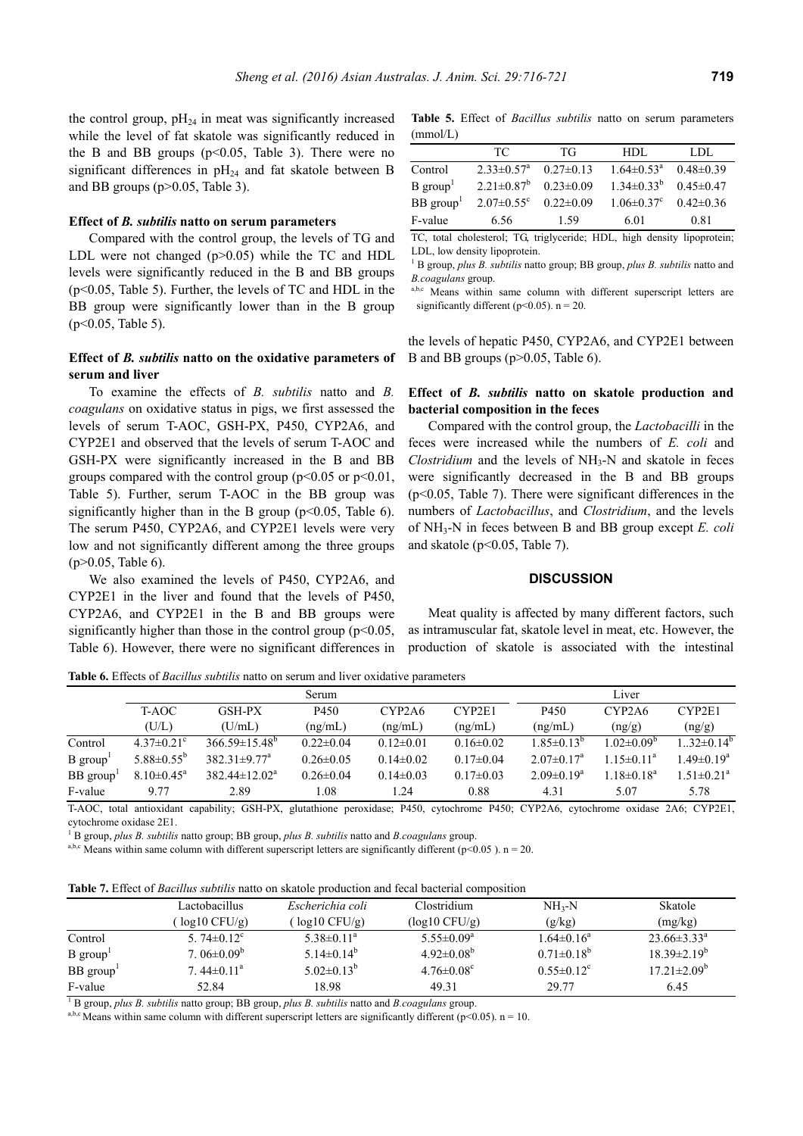the control group,  $pH_{24}$  in meat was significantly increased while the level of fat skatole was significantly reduced in the B and BB groups  $(p<0.05,$  Table 3). There were no significant differences in  $pH_{24}$  and fat skatole between B and BB groups (p>0.05, Table 3).

## **Effect of** *B. subtilis* **natto on serum parameters**

Compared with the control group, the levels of TG and LDL were not changed (p>0.05) while the TC and HDL levels were significantly reduced in the B and BB groups (p<0.05, Table 5). Further, the levels of TC and HDL in the BB group were significantly lower than in the B group (p<0.05, Table 5).

# **Effect of** *B. subtilis* **natto on the oxidative parameters of serum and liver**

To examine the effects of *B. subtilis* natto and *B. coagulans* on oxidative status in pigs, we first assessed the levels of serum T-AOC, GSH-PX, P450, CYP2A6, and CYP2E1 and observed that the levels of serum T-AOC and GSH-PX were significantly increased in the B and BB groups compared with the control group ( $p<0.05$  or  $p<0.01$ , Table 5). Further, serum T-AOC in the BB group was significantly higher than in the B group ( $p<0.05$ , Table 6). The serum P450, CYP2A6, and CYP2E1 levels were very low and not significantly different among the three groups (p>0.05, Table 6).

We also examined the levels of P450, CYP2A6, and CYP2E1 in the liver and found that the levels of P450, CYP2A6, and CYP2E1 in the B and BB groups were significantly higher than those in the control group  $(p<0.05$ , Table 6). However, there were no significant differences in

**Table 5.** Effect of *Bacillus subtilis* natto on serum parameters (mmol/L)

|                         | TC.                          | TG              | HDL                          | LDL             |
|-------------------------|------------------------------|-----------------|------------------------------|-----------------|
| Control                 | $2.33 \pm 0.57$ <sup>a</sup> | $0.27 \pm 0.13$ | $1.64 \pm 0.53$ <sup>a</sup> | $0.48\pm0.39$   |
| $B$ group <sup>1</sup>  | $2.21 \pm 0.87$ <sup>b</sup> | $0.23 \pm 0.09$ | $1.34\pm0.33^{b}$            | $0.45 \pm 0.47$ |
| $BB$ group <sup>1</sup> | $2.07 \pm 0.55$ <sup>c</sup> | $0.22 \pm 0.09$ | $1.06 \pm 0.37$ <sup>c</sup> | $0.42 \pm 0.36$ |
| F-value                 | 6.56                         | 1.59            | 6.01                         | 0.81            |

TC, total cholesterol; TG, triglyceride; HDL, high density lipoprotein; LDL, low density lipoprotein.

<sup>1</sup> B group, *plus B. subtilis* natto group; BB group, *plus B. subtilis* natto and *B.coagulans* group.

a,b,c Means within same column with different superscript letters are significantly different ( $p<0.05$ ).  $n = 20$ .

the levels of hepatic P450, CYP2A6, and CYP2E1 between B and BB groups (p>0.05, Table 6).

## **Effect of** *B. subtilis* **natto on skatole production and bacterial composition in the feces**

Compared with the control group, the *Lactobacilli* in the feces were increased while the numbers of *E. coli* and *Clostridium* and the levels of NH<sub>3</sub>-N and skatole in feces were significantly decreased in the B and BB groups (p<0.05, Table 7). There were significant differences in the numbers of *Lactobacillus*, and *Clostridium*, and the levels of NH3-N in feces between B and BB group except *E. coli* and skatole (p<0.05, Table 7).

#### **DISCUSSION**

Meat quality is affected by many different factors, such as intramuscular fat, skatole level in meat, etc. However, the production of skatole is associated with the intestinal

**Table 6.** Effects of *Bacillus subtilis* natto on serum and liver oxidative parameters

|                        |                              |                                | Serum           |                                 |                 |                              | Liver             |                   |
|------------------------|------------------------------|--------------------------------|-----------------|---------------------------------|-----------------|------------------------------|-------------------|-------------------|
|                        | T-AOC                        | <b>GSH-PX</b>                  | P450            | CYP <sub>2</sub> A <sub>6</sub> | CYP2E1          | P450                         | CYP2A6            | CYP2E1            |
|                        | (U/L)                        | (U/mL)                         | (ng/mL)         | (ng/mL)                         | (ng/mL)         | (ng/mL)                      | (ng/g)            | (ng/g)            |
| Control                | $4.37 \pm 0.21$ °            | $366.59\pm15.48^b$             | $0.22 \pm 0.04$ | $0.12 \pm 0.01$                 | $0.16 \pm 0.02$ | $1.85 \pm 0.13^{b}$          | $1.02 \pm 0.09^b$ | $1.32 \pm 0.14^b$ |
| $B$ group <sup>1</sup> | $5.88 \pm 0.55^b$            | $382.31 \pm 9.77$ <sup>a</sup> | $0.26 \pm 0.05$ | $0.14\pm0.02$                   | $0.17 \pm 0.04$ | $2.07 \pm 0.17$ <sup>a</sup> | $1.15 \pm 0.11^a$ | $-49\pm 0.19^a$   |
| $BB$ group             | $8.10 \pm 0.45$ <sup>a</sup> | $382.44 \pm 12.02^a$           | $0.26 \pm 0.04$ | $0.14\pm0.03$                   | $0.17 \pm 0.03$ | $2.09 \pm 0.19^a$            | $.18\pm0.18^a$    | $1.51 \pm 0.21^a$ |
| F-value                | 9.77                         | 2.89                           | 1.08            | $\sqrt{24}$                     | 0.88            | 4.31                         | 5.07              | 5.78              |

T-AOC, total antioxidant capability; GSH-PX, glutathione peroxidase; P450, cytochrome P450; CYP2A6, cytochrome oxidase 2A6; CYP2E1, cytochrome oxidase 2E1.

1 B group, *plus B. subtilis* natto group; BB group, *plus B. subtilis* natto and *B.coagulans* group.

a,b,c Means within same column with different superscript letters are significantly different (p<0.05).  $n = 20$ .

| <b>Table 7.</b> Effect of <i>Bacillus subtilis</i> natto on skatole production and fecal bacterial composition |
|----------------------------------------------------------------------------------------------------------------|
|----------------------------------------------------------------------------------------------------------------|

|                         | Lactobacillus                | Escherichia coli             | Clostridium                  | $NH_{3}-N$                   | Skatole                  |
|-------------------------|------------------------------|------------------------------|------------------------------|------------------------------|--------------------------|
|                         | $log10$ CFU/g)               | $log 10$ CFU/g)              | $(\log 10 \text{ CFU/g})$    | (g/kg)                       | (mg/kg)                  |
| Control                 | 5. $74\pm0.12^c$             | $5.38 \pm 0.11^a$            | $5.55 \pm 0.09^a$            | $1.64 \pm 0.16^a$            | $23.66\pm3.33^{\circ}$   |
| $B$ group               | 7.06 $\pm$ 0.09 <sup>b</sup> | 5.14 $\pm$ 0.14 <sup>b</sup> | $4.92 \pm 0.08^b$            | $0.71 \pm 0.18^b$            | $18.39 \pm 2.19^b$       |
| $BB$ group <sup>1</sup> | 7.44 $\pm$ 0.11 <sup>a</sup> | $5.02\pm0.13^{b}$            | $4.76 \pm 0.08$ <sup>c</sup> | $0.55 \pm 0.12$ <sup>c</sup> | $17.21 \pm 2.09^{\rm b}$ |
| F-value                 | 52.84                        | 18.98                        | 49.31                        | 29.77                        | 6.45                     |

1 B group, *plus B. subtilis* natto group; BB group, *plus B. subtilis* natto and *B.coagulans* group.

<sup>a,b,c</sup> Means within same column with different superscript letters are significantly different (p<0.05). n = 10.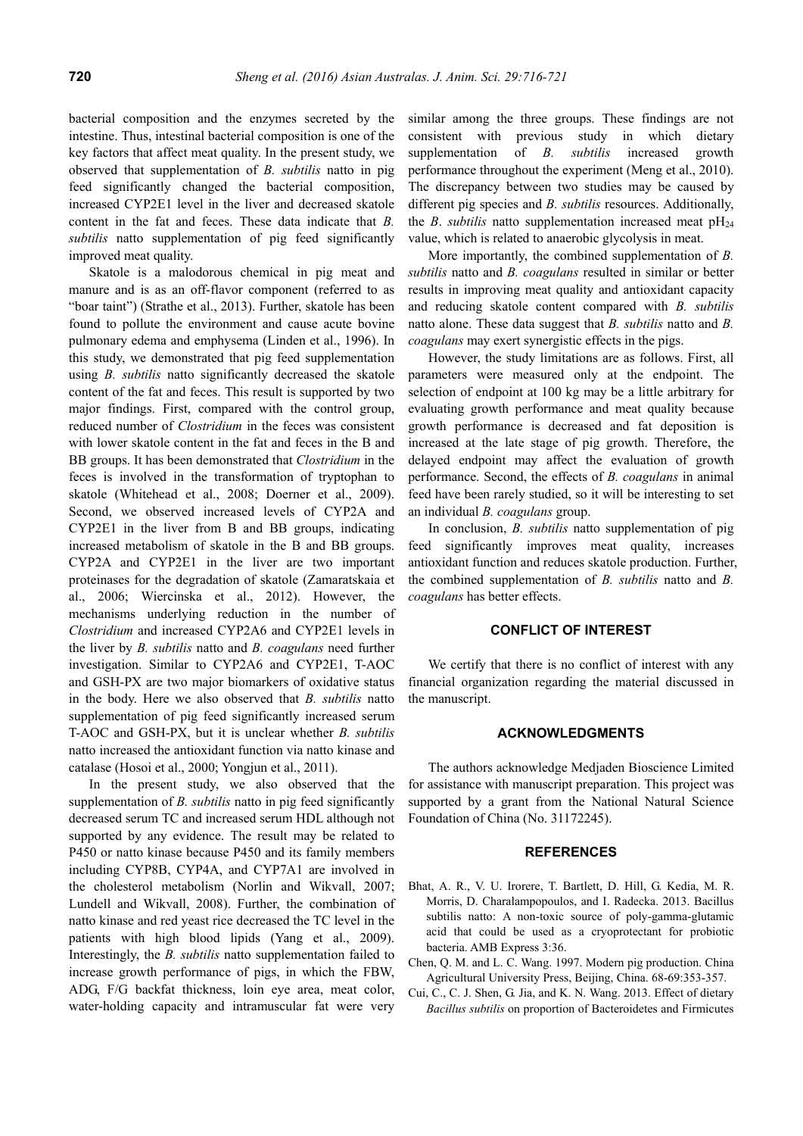bacterial composition and the enzymes secreted by the intestine. Thus, intestinal bacterial composition is one of the key factors that affect meat quality. In the present study, we observed that supplementation of *B. subtilis* natto in pig feed significantly changed the bacterial composition, increased CYP2E1 level in the liver and decreased skatole content in the fat and feces. These data indicate that *B. subtilis* natto supplementation of pig feed significantly improved meat quality.

Skatole is a malodorous chemical in pig meat and manure and is as an off-flavor component (referred to as "boar taint") (Strathe et al., 2013). Further, skatole has been found to pollute the environment and cause acute bovine pulmonary edema and emphysema (Linden et al., 1996). In this study, we demonstrated that pig feed supplementation using *B. subtilis* natto significantly decreased the skatole content of the fat and feces. This result is supported by two major findings. First, compared with the control group, reduced number of *Clostridium* in the feces was consistent with lower skatole content in the fat and feces in the B and BB groups. It has been demonstrated that *Clostridium* in the feces is involved in the transformation of tryptophan to skatole (Whitehead et al., 2008; Doerner et al., 2009). Second, we observed increased levels of CYP2A and CYP2E1 in the liver from B and BB groups, indicating increased metabolism of skatole in the B and BB groups. CYP2A and CYP2E1 in the liver are two important proteinases for the degradation of skatole (Zamaratskaia et al., 2006; Wiercinska et al., 2012). However, the mechanisms underlying reduction in the number of *Clostridium* and increased CYP2A6 and CYP2E1 levels in the liver by *B. subtilis* natto and *B. coagulans* need further investigation. Similar to CYP2A6 and CYP2E1, T-AOC and GSH-PX are two major biomarkers of oxidative status in the body. Here we also observed that *B. subtilis* natto supplementation of pig feed significantly increased serum T-AOC and GSH-PX, but it is unclear whether *B. subtilis* natto increased the antioxidant function via natto kinase and catalase (Hosoi et al., 2000; Yongjun et al., 2011).

In the present study, we also observed that the supplementation of *B. subtilis* natto in pig feed significantly decreased serum TC and increased serum HDL although not supported by any evidence. The result may be related to P450 or natto kinase because P450 and its family members including CYP8B, CYP4A, and CYP7A1 are involved in the cholesterol metabolism (Norlin and Wikvall, 2007; Lundell and Wikvall, 2008). Further, the combination of natto kinase and red yeast rice decreased the TC level in the patients with high blood lipids (Yang et al., 2009). Interestingly, the *B. subtilis* natto supplementation failed to increase growth performance of pigs, in which the FBW, ADG, F/G backfat thickness, loin eye area, meat color, water-holding capacity and intramuscular fat were very

similar among the three groups. These findings are not consistent with previous study in which dietary supplementation of *B. subtilis* increased growth performance throughout the experiment (Meng et al., 2010). The discrepancy between two studies may be caused by different pig species and *B. subtilis* resources. Additionally, the *B*. *subtilis* natto supplementation increased meat  $pH_{24}$ value, which is related to anaerobic glycolysis in meat.

More importantly, the combined supplementation of *B. subtilis* natto and *B. coagulans* resulted in similar or better results in improving meat quality and antioxidant capacity and reducing skatole content compared with *B. subtilis* natto alone. These data suggest that *B. subtilis* natto and *B. coagulans* may exert synergistic effects in the pigs.

However, the study limitations are as follows. First, all parameters were measured only at the endpoint. The selection of endpoint at 100 kg may be a little arbitrary for evaluating growth performance and meat quality because growth performance is decreased and fat deposition is increased at the late stage of pig growth. Therefore, the delayed endpoint may affect the evaluation of growth performance. Second, the effects of *B. coagulans* in animal feed have been rarely studied, so it will be interesting to set an individual *B. coagulans* group.

In conclusion, *B. subtilis* natto supplementation of pig feed significantly improves meat quality, increases antioxidant function and reduces skatole production. Further, the combined supplementation of *B. subtilis* natto and *B. coagulans* has better effects.

## **CONFLICT OF INTEREST**

We certify that there is no conflict of interest with any financial organization regarding the material discussed in the manuscript.

# **ACKNOWLEDGMENTS**

The authors acknowledge Medjaden Bioscience Limited for assistance with manuscript preparation. This project was supported by a grant from the National Natural Science Foundation of China (No. 31172245).

### **REFERENCES**

- Bhat, A. R., V. U. Irorere, T. Bartlett, D. Hill, G. Kedia, M. R. Morris, D. Charalampopoulos, and I. Radecka. 2013. Bacillus subtilis natto: A non-toxic source of poly-gamma-glutamic acid that could be used as a cryoprotectant for probiotic bacteria. AMB Express 3:36.
- Chen, Q. M. and L. C. Wang. 1997. Modern pig production. China Agricultural University Press, Beijing, China. 68-69:353-357.
- Cui, C., C. J. Shen, G. Jia, and K. N. Wang. 2013. Effect of dietary *Bacillus subtilis* on proportion of Bacteroidetes and Firmicutes